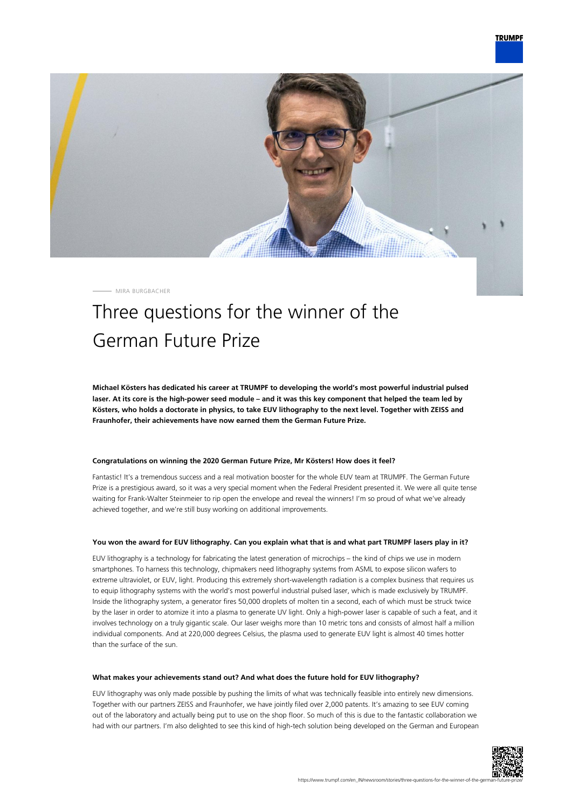

MIRA BURGBACHER

## Three questions for the winner of the German Future Prize

**Michael Kösters has dedicated his career at TRUMPF to developing the world's most powerful industrial pulsed laser. At its core is the high-power seed module – and it was this key component that helped the team led by Kösters, who holds a doctorate in physics, to take EUV lithography to the next level. Together with ZEISS and Fraunhofer, their achievements have now earned them the German Future Prize.**

## **Congratulations on winning the 2020 German Future Prize, Mr Kösters! How does it feel?**

Fantastic! It's a tremendous success and a real motivation booster for the whole EUV team at TRUMPF. The German Future Prize is a prestigious award, so it was a very special moment when the Federal President presented it. We were all quite tense waiting for Frank-Walter Steinmeier to rip open the envelope and reveal the winners! I'm so proud of what we've already achieved together, and we're still busy working on additional improvements.

## **You won the award for EUV lithography. Can you explain what that is and what part TRUMPF lasers play in it?**

EUV lithography is a technology for fabricating the latest generation of microchips – the kind of chips we use in modern smartphones. To harness this technology, chipmakers need lithography systems from ASML to expose silicon wafers to extreme ultraviolet, or EUV, light. Producing this extremely short-wavelength radiation is a complex business that requires us to equip lithography systems with the world's most powerful industrial pulsed laser, which is made exclusively by TRUMPF. Inside the lithography system, a generator fires 50,000 droplets of molten tin a second, each of which must be struck twice by the laser in order to atomize it into a plasma to generate UV light. Only a high-power laser is capable of such a feat, and it involves technology on a truly gigantic scale. Our laser weighs more than 10 metric tons and consists of almost half a million individual components. And at 220,000 degrees Celsius, the plasma used to generate EUV light is almost 40 times hotter than the surface of the sun.

## **What makes your achievements stand out? And what does the future hold for EUV lithography?**

EUV lithography was only made possible by pushing the limits of what was technically feasible into entirely new dimensions. Together with our partners ZEISS and Fraunhofer, we have jointly filed over 2,000 patents. It's amazing to see EUV coming out of the laboratory and actually being put to use on the shop floor. So much of this is due to the fantastic collaboration we had with our partners. I'm also delighted to see this kind of high-tech solution being developed on the German and European